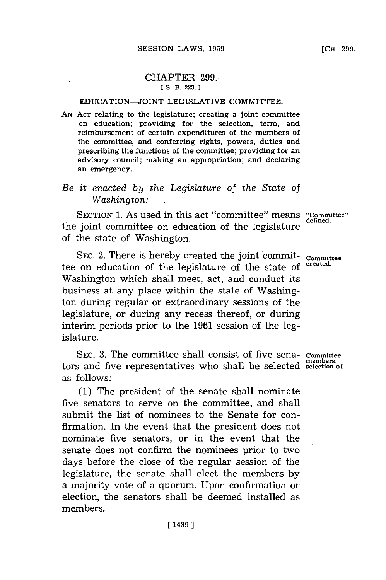# CHAPTER **299..**

### **E S. B. 223.]1**

## EDUCATION-JOINT LEGISLATIVE COMMITTEE.

**AN ACT** relating to the legislature; creating a joint committee on education; providing for the selection, term, and reimbursement of certain expenditures of the members of the committee, and conferring rights, powers, duties and prescribing the functions of the committee; providing for an advisory council; making an appropriation; and declaring an emergency.

# *Be it enacted by the Legislature* of *the State* of *Washington:*

SECTION 1. As used in this act "committee" means "Committee" the joint committee on education of the legislature of the state of Washington.

SEC. 2. There is hereby created the joint commit- committee tee on education of the legislature of the state of created. Washington which shall meet, act, and conduct its business at any place within the state of Washington during regular or extraordinary sessions of the legislature, or during any recess thereof, or during interim periods prior to the **1961** session of the legislature.

SEc. **3.** The committee shall consist of five sena- **Committee members,** tors and five representatives who shall be selected **selection of** as follows:

**(1)** The president of the senate shall nominate five senators to serve on the committee, and shall submit the list of nominees to the Senate for confirmation. In the event that the president does not nominate five senators, or in the event that the senate does not confirm the nominees prior to two days before the close of the regular session of the legislature, the senate shall elect the members **by** a majority vote of a quorum. Upon confirmation or election, the senators shall be deemed installed as members.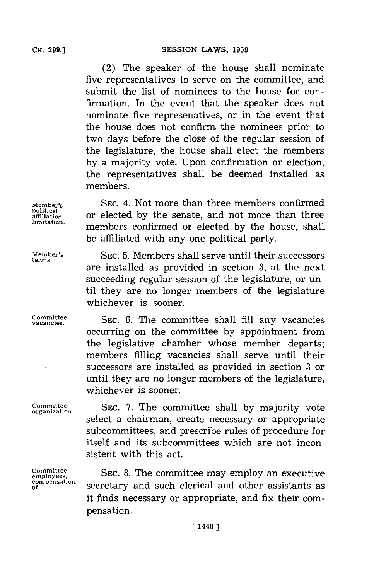**CH. 299.]**

SESSION LAWS, 1959

(2) The speaker of the house shall nominate five representatives to serve on the committee, and submit the list of nominees to the house for confirmation. In the event that the speaker does not nominate five represenatives, or in the event that the house does not confirm the nominees prior to two days before the close of the regular session of the legislature, the house shall elect the members **by** a majority vote. Upon confirmation or election, the representatives shall be deemed installed as members.

**Member's** SEc. 4. Not more than three members confirmed **Political affiliation** or elected **by** the senate, and not more than three **limitation,** members confirmed or elected **by** the house, shall

**terms.**

Committee **SEC. 7. The committee shall by majority vote** organization. select a chairman, create necessary or appropriate subcommittees, and prescribe rules of procedure for itself and its subcommittees which are not inconsistent with this act.

 $compensation$ 

**Committee SEC. 8. The committee may employ an executive** employees, **of.** secretary adsuch clerical and other assistants as it finds necessary or appropriate, and fix their compensation.

**Member's SEC. 5.** Members shall serve until their successors are installed as provided in section **3,** at the next succeeding regular session of the legislature, or until they are no longer members of the legislature whichever is sooner.

be affiliated with any one political party.

vacanies. **SEC. 6.** The committee shall **fill** any vacancies occurring on the commuittee **by** appointment from the legislative chamber whose member departs; members filling vacancies shall serve until their successors are installed as provided in section **3.** or until they are no longer members of the legislature, whichever is sooner.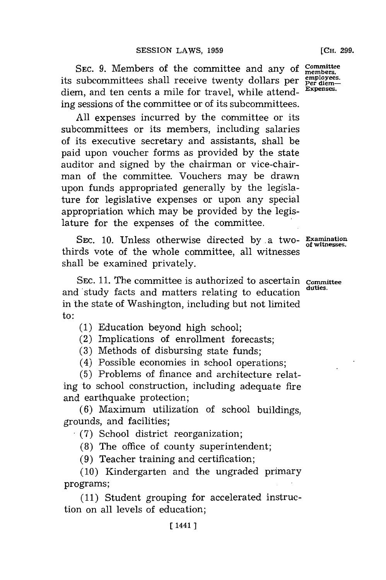SEC. 9. Members of the committee and any of Committee its subcommittees shall receive twenty dollars per employees. diem, and ten cents a mile for travel, while attending sessions of the committee or of its subcommittees.

**All** expenses incurred **by** the committee or its subcommittees or its members, including salaries of its executive secretary and assistants, shall be paid upon voucher forms as provided **by** the state auditor and signed **by** the chairman or vice-chairman of the committee. Vouchers may be drawn upon funds appropriated generally **by** the legislature for legislative expenses or upon any special appropriation which may be provided **by** the legislature for the expenses of the committee.

SEC. **10.** Unless otherwise directed by a two- **Examination of witnesses.** thirds vote of the whole committee, all witnesses shall be examined privately.

**SEC. 11.** The committee is authorized to ascertain **committee** and study facts and matters relating to education in the state of Washington, including but not limited to:

**(1)** Education beyond high school;

(2) Implications of enrollment forecasts;

**(3)** Methods of disbursing state funds;

(4) Possible economies in school operations;

**(5)** Problems of finance and architecture relating 'to school construction, including adequate fire and earthquake protection;

**(6)** Maximum utilization of school buildings, grounds, and facilities;

**(7)** School district reorganization;

**(8)** The office of county superintendent;

**(9)** Teacher training and certification;

**(10)** Kindergarten and the ungraded primary programs;

**(11)** Student grouping for accelerated instruction on all levels of education;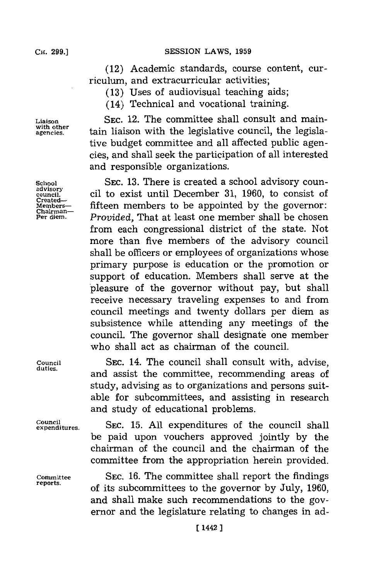### **SESSION LAWS, 1959**

(12) Academic standards, course content, curriculum, and extracurricular activities;

**(13)** Uses of audiovisual teaching aids;

(14) Technical and vocational training.

**Liaison SEC.** 12. The committee shall consult and mainwith other tain liaison with the legislative council, the legislative budget committee and all affected public agencies, and shall seek the participation of all interested and responsible organizations.

**School** SEC. 13. There is created a school advisory coun-<br>
advisory extending the contract of the consist of counil. cil to exist until December **31, 1960,** to consist of **Members-** fifteen members to be appointed **by** the governor: **Chairmnan-**Provided, That at least one member shall be chosen from each congressional district of the state. Not more than five members of the advisory council shall be officers or employees of organizations whose primary purpose is education or the promotion or support of education. Members shall serve at the 'pleasure of the governor without pay, but shall receive necessary traveling expenses to and from council meetings and twenty dollars per diem as subsistence while attending any meetings of the council. The governor shall designate one member who shall act as chairman of the council.

Council SEC. 14. The council shall consult with, advise, and assist the committee, recommending areas of study, advising as to organizations and persons suitable for subcommittees, and assisting in research and study of educational problems.

**expeditures. SEC. 15. All** expenditures of the council shall be paid upon vouchers approved jointly **by** the chairman of the council and the chairman of the committee from the appropriation herein provided.

**Committee** SEC. 16. The committee shall report the findings **reports.** of its subcommittees to the governor **by** July, **1960,** and shall make such recommendations to the governor and the legislature relating to changes in ad-

**with other**

**Created-**